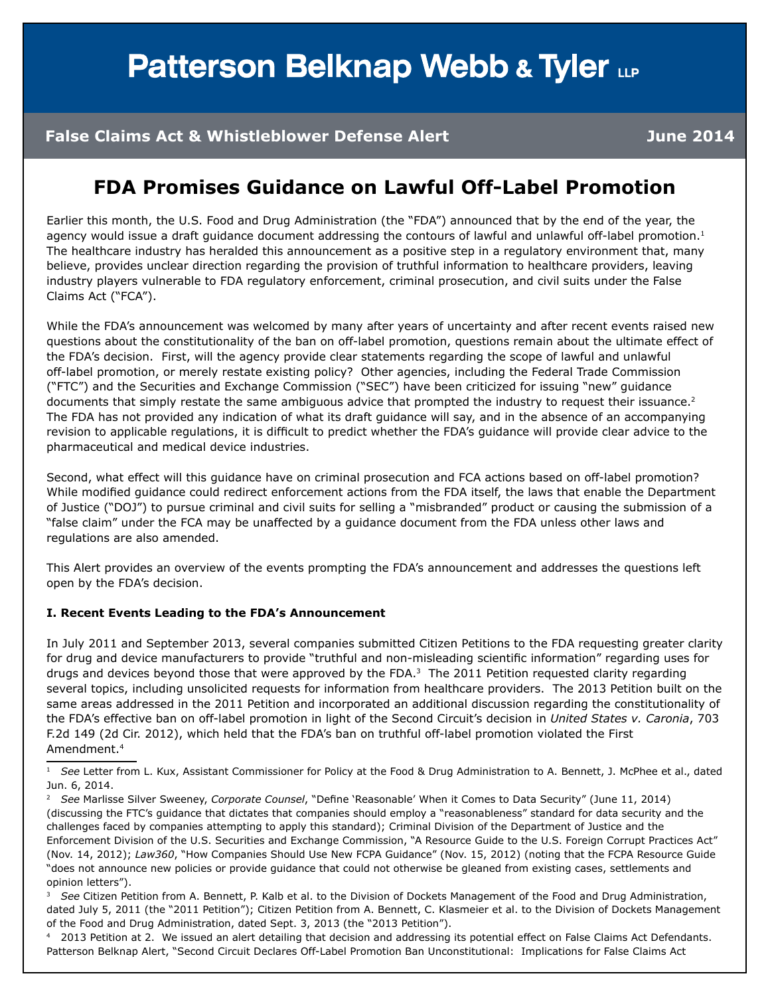# **Patterson Belknap Webb & Tyler LLP**

#### **False Claims Act & Whistleblower Defense Alert June 2014**

### **FDA Promises Guidance on Lawful Off-Label Promotion**

Earlier this month, the U.S. Food and Drug Administration (the "FDA") announced that by the end of the year, the agency would issue a draft guidance document addressing the contours of lawful and unlawful off-label promotion.<sup>1</sup> The healthcare industry has heralded this announcement as a positive step in a regulatory environment that, many believe, provides unclear direction regarding the provision of truthful information to healthcare providers, leaving industry players vulnerable to FDA regulatory enforcement, criminal prosecution, and civil suits under the False Claims Act ("FCA").

While the FDA's announcement was welcomed by many after years of uncertainty and after recent events raised new questions about the constitutionality of the ban on off-label promotion, questions remain about the ultimate effect of the FDA's decision. First, will the agency provide clear statements regarding the scope of lawful and unlawful off-label promotion, or merely restate existing policy? Other agencies, including the Federal Trade Commission ("FTC") and the Securities and Exchange Commission ("SEC") have been criticized for issuing "new" guidance documents that simply restate the same ambiguous advice that prompted the industry to request their issuance.<sup>2</sup> The FDA has not provided any indication of what its draft guidance will say, and in the absence of an accompanying revision to applicable regulations, it is difficult to predict whether the FDA's guidance will provide clear advice to the pharmaceutical and medical device industries.

Second, what effect will this guidance have on criminal prosecution and FCA actions based on off-label promotion? While modified guidance could redirect enforcement actions from the FDA itself, the laws that enable the Department of Justice ("DOJ") to pursue criminal and civil suits for selling a "misbranded" product or causing the submission of a "false claim" under the FCA may be unaffected by a guidance document from the FDA unless other laws and regulations are also amended.

This Alert provides an overview of the events prompting the FDA's announcement and addresses the questions left open by the FDA's decision.

#### **I. Recent Events Leading to the FDA's Announcement**

In July 2011 and September 2013, several companies submitted Citizen Petitions to the FDA requesting greater clarity for drug and device manufacturers to provide "truthful and non-misleading scientific information" regarding uses for drugs and devices beyond those that were approved by the FDA.<sup>3</sup> The 2011 Petition requested clarity regarding several topics, including unsolicited requests for information from healthcare providers. The 2013 Petition built on the same areas addressed in the 2011 Petition and incorporated an additional discussion regarding the constitutionality of the FDA's effective ban on off-label promotion in light of the Second Circuit's decision in *United States v. Caronia*, 703 F.2d 149 (2d Cir. 2012), which held that the FDA's ban on truthful off-label promotion violated the First Amendment.4

<sup>3</sup> *See* Citizen Petition from A. Bennett, P. Kalb et al. to the Division of Dockets Management of the Food and Drug Administration, dated July 5, 2011 (the "2011 Petition"); Citizen Petition from A. Bennett, C. Klasmeier et al. to the Division of Dockets Management of the Food and Drug Administration, dated Sept. 3, 2013 (the "2013 Petition").

2013 Petition at 2. We issued an alert detailing that decision and addressing its potential effect on False Claims Act Defendants. Patterson Belknap Alert, "Second Circuit Declares Off-Label Promotion Ban Unconstitutional: Implications for False Claims Act

<sup>&</sup>lt;sup>1</sup> See Letter from L. Kux, Assistant Commissioner for Policy at the Food & Drug Administration to A. Bennett, J. McPhee et al., dated Jun. 6, 2014.

<sup>2</sup> *See* Marlisse Silver Sweeney, *Corporate Counsel*, "Define 'Reasonable' When it Comes to Data Security" (June 11, 2014) (discussing the FTC's guidance that dictates that companies should employ a "reasonableness" standard for data security and the challenges faced by companies attempting to apply this standard); Criminal Division of the Department of Justice and the Enforcement Division of the U.S. Securities and Exchange Commission, "A Resource Guide to the U.S. Foreign Corrupt Practices Act" (Nov. 14, 2012); *Law360*, "How Companies Should Use New FCPA Guidance" (Nov. 15, 2012) (noting that the FCPA Resource Guide "does not announce new policies or provide guidance that could not otherwise be gleaned from existing cases, settlements and opinion letters").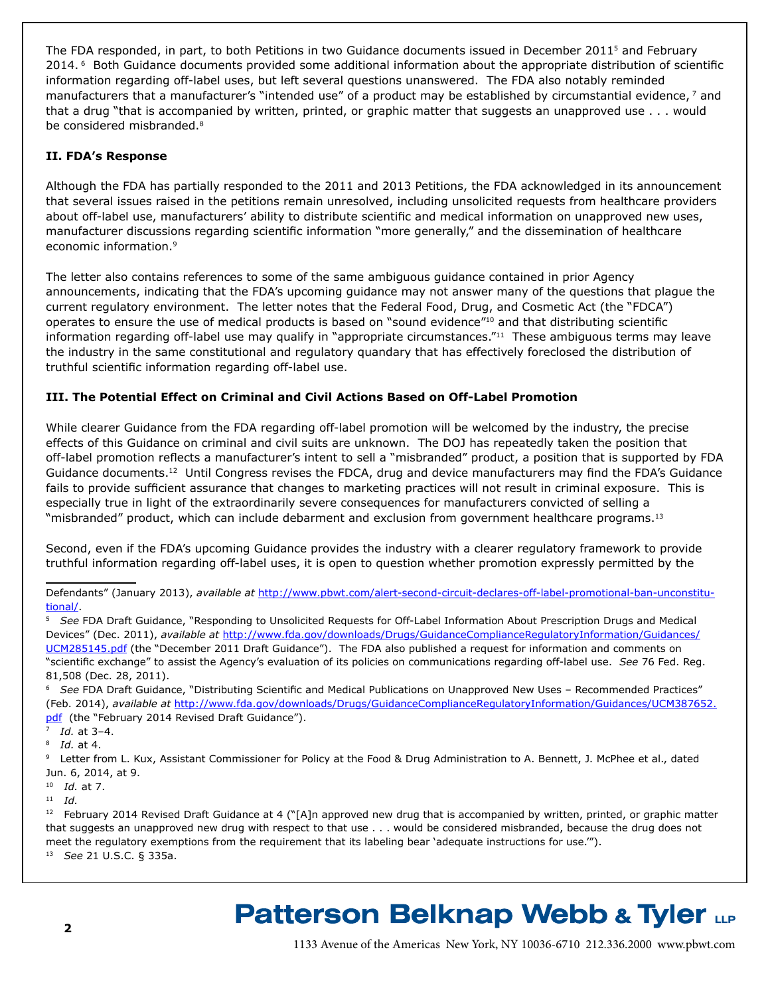The FDA responded, in part, to both Petitions in two Guidance documents issued in December 20115 and February 2014. 6 Both Guidance documents provided some additional information about the appropriate distribution of scientific information regarding off-label uses, but left several questions unanswered. The FDA also notably reminded manufacturers that a manufacturer's "intended use" of a product may be established by circumstantial evidence, 7 and that a drug "that is accompanied by written, printed, or graphic matter that suggests an unapproved use . . . would be considered misbranded.<sup>8</sup>

#### **II. FDA's Response**

Although the FDA has partially responded to the 2011 and 2013 Petitions, the FDA acknowledged in its announcement that several issues raised in the petitions remain unresolved, including unsolicited requests from healthcare providers about off-label use, manufacturers' ability to distribute scientific and medical information on unapproved new uses, manufacturer discussions regarding scientific information "more generally," and the dissemination of healthcare economic information.9

The letter also contains references to some of the same ambiguous guidance contained in prior Agency announcements, indicating that the FDA's upcoming guidance may not answer many of the questions that plague the current regulatory environment. The letter notes that the Federal Food, Drug, and Cosmetic Act (the "FDCA") operates to ensure the use of medical products is based on "sound evidence"10 and that distributing scientific information regarding off-label use may qualify in "appropriate circumstances."<sup>11</sup> These ambiguous terms may leave the industry in the same constitutional and regulatory quandary that has effectively foreclosed the distribution of truthful scientific information regarding off-label use.

#### **III. The Potential Effect on Criminal and Civil Actions Based on Off-Label Promotion**

While clearer Guidance from the FDA regarding off-label promotion will be welcomed by the industry, the precise effects of this Guidance on criminal and civil suits are unknown. The DOJ has repeatedly taken the position that off-label promotion reflects a manufacturer's intent to sell a "misbranded" product, a position that is supported by FDA Guidance documents.<sup>12</sup> Until Congress revises the FDCA, drug and device manufacturers may find the FDA's Guidance fails to provide sufficient assurance that changes to marketing practices will not result in criminal exposure. This is especially true in light of the extraordinarily severe consequences for manufacturers convicted of selling a "misbranded" product, which can include debarment and exclusion from government healthcare programs.<sup>13</sup>

Second, even if the FDA's upcoming Guidance provides the industry with a clearer regulatory framework to provide truthful information regarding off-label uses, it is open to question whether promotion expressly permitted by the

Defendants" (January 2013), *available at* [http://www.pbwt.com/alert-second-circuit-declares-off-label-promotional-ban-unconstitu](http://www.pbwt.com/alert-second-circuit-declares-off-label-promotional-ban-unconstitutional/)[tional/](http://www.pbwt.com/alert-second-circuit-declares-off-label-promotional-ban-unconstitutional/).

<sup>5</sup> *See* FDA Draft Guidance, "Responding to Unsolicited Requests for Off-Label Information About Prescription Drugs and Medical Devices" (Dec. 2011), *available at* [http://www.fda.gov/downloads/Drugs/GuidanceComplianceRegulatoryInformation/Guidances/](http://www.fda.gov/downloads/Drugs/GuidanceComplianceRegulatoryInformation/Guidances/UCM285145.pdf) [UCM285145.pdf](http://www.fda.gov/downloads/Drugs/GuidanceComplianceRegulatoryInformation/Guidances/UCM285145.pdf) (the "December 2011 Draft Guidance"). The FDA also published a request for information and comments on "scientific exchange" to assist the Agency's evaluation of its policies on communications regarding off-label use. *See* 76 Fed. Reg. 81,508 (Dec. 28, 2011).

<sup>6</sup> *See* FDA Draft Guidance, "Distributing Scientific and Medical Publications on Unapproved New Uses – Recommended Practices" (Feb. 2014), *available at* [http://www.fda.gov/downloads/Drugs/GuidanceComplianceRegulatoryInformation/Guidances/UCM387652.](http://www.fda.gov/downloads/Drugs/GuidanceComplianceRegulatoryInformation/Guidances/UCM387652.pdf) [pdf](http://www.fda.gov/downloads/Drugs/GuidanceComplianceRegulatoryInformation/Guidances/UCM387652.pdf) (the "February 2014 Revised Draft Guidance").

<sup>7</sup> *Id.* at 3–4.

<sup>8</sup> *Id.* at 4.

9 Letter from L. Kux, Assistant Commissioner for Policy at the Food & Drug Administration to A. Bennett, J. McPhee et al., dated Jun. 6, 2014, at 9.

<sup>10</sup> *Id.* at 7.

<sup>11</sup> *Id.*

<sup>12</sup> February 2014 Revised Draft Guidance at 4 ("[A]n approved new drug that is accompanied by written, printed, or graphic matter that suggests an unapproved new drug with respect to that use . . . would be considered misbranded, because the drug does not meet the regulatory exemptions from the requirement that its labeling bear 'adequate instructions for use.'"). 13 *See* 21 U.S.C. § 335a.

## **Patterson Belknap Webb & Tyler LLP**